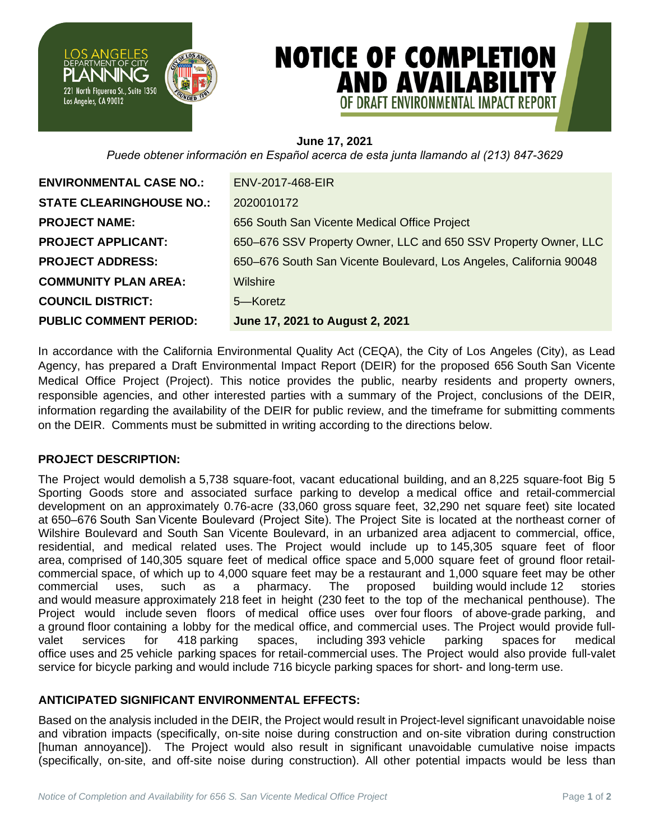

# **NOTICE OF COMPLETION AND AVAILABILITY** OF DRAFT ENVIRONMENTAL IMPACT

## **June 17, 2021**

*Puede obtener información en Español acerca de esta junta llamando al (213) 847-3629* 

| <b>ENVIRONMENTAL CASE NO.:</b>  | ENV-2017-468-EIR                                                   |
|---------------------------------|--------------------------------------------------------------------|
| <b>STATE CLEARINGHOUSE NO.:</b> | 2020010172                                                         |
| <b>PROJECT NAME:</b>            | 656 South San Vicente Medical Office Project                       |
| <b>PROJECT APPLICANT:</b>       | 650-676 SSV Property Owner, LLC and 650 SSV Property Owner, LLC    |
| <b>PROJECT ADDRESS:</b>         | 650–676 South San Vicente Boulevard, Los Angeles, California 90048 |
| <b>COMMUNITY PLAN AREA:</b>     | Wilshire                                                           |
| <b>COUNCIL DISTRICT:</b>        | 5-Koretz                                                           |
| <b>PUBLIC COMMENT PERIOD:</b>   | June 17, 2021 to August 2, 2021                                    |

In accordance with the California Environmental Quality Act (CEQA), the City of Los Angeles (City), as Lead Agency, has prepared a Draft Environmental Impact Report (DEIR) for the proposed 656 South San Vicente Medical Office Project (Project). This notice provides the public, nearby residents and property owners, responsible agencies, and other interested parties with a summary of the Project, conclusions of the DEIR, information regarding the availability of the DEIR for public review, and the timeframe for submitting comments on the DEIR. Comments must be submitted in writing according to the directions below.

### **PROJECT DESCRIPTION:**

The Project would demolish a 5,738 square-foot, vacant educational building, and an 8,225 square-foot Big 5 Sporting Goods store and associated surface parking to develop a medical office and retail-commercial development on an approximately 0.76-acre (33,060 gross square feet, 32,290 net square feet) site located at 650–676 South San Vicente Boulevard (Project Site). The Project Site is located at the northeast corner of Wilshire Boulevard and South San Vicente Boulevard, in an urbanized area adjacent to commercial, office, residential, and medical related uses. The Project would include up to 145,305 square feet of floor area, comprised of 140,305 square feet of medical office space and 5,000 square feet of ground floor retailcommercial space, of which up to 4,000 square feet may be a restaurant and 1,000 square feet may be other commercial uses, such as a pharmacy. The proposed building would include 12 stories commercial uses, such as a pharmacy. The proposed building would include 12 stories and would measure approximately 218 feet in height (230 feet to the top of the mechanical penthouse). The Project would include seven floors of medical office uses over four floors of above-grade parking, and a ground floor containing a lobby for the medical office, and commercial uses. The Project would provide fullvalet services for 418 parking spaces, including 393 vehicle parking spaces for medical office uses and 25 vehicle parking spaces for retail-commercial uses. The Project would also provide full-valet service for bicycle parking and would include 716 bicycle parking spaces for short- and long-term use.

## **ANTICIPATED SIGNIFICANT ENVIRONMENTAL EFFECTS:**

Based on the analysis included in the DEIR, the Project would result in Project-level significant unavoidable noise and vibration impacts (specifically, on-site noise during construction and on-site vibration during construction [human annoyance]). The Project would also result in significant unavoidable cumulative noise impacts (specifically, on-site, and off-site noise during construction). All other potential impacts would be less than